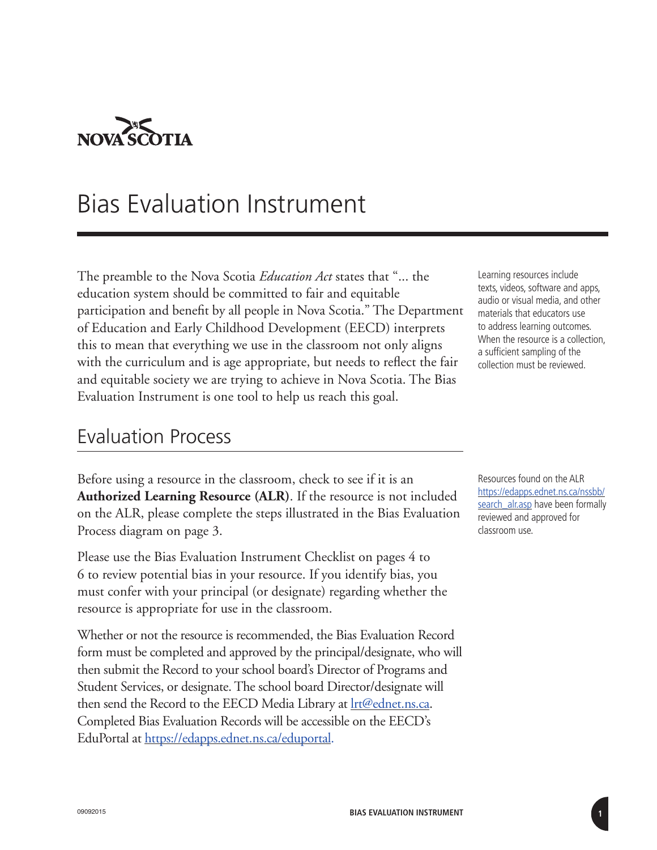

## Bias Evaluation Instrument

The preamble to the Nova Scotia *Education Act* states that "... the education system should be committed to fair and equitable participation and benefit by all people in Nova Scotia." The Department of Education and Early Childhood Development (EECD) interprets this to mean that everything we use in the classroom not only aligns with the curriculum and is age appropriate, but needs to reflect the fair and equitable society we are trying to achieve in Nova Scotia. The Bias Evaluation Instrument is one tool to help us reach this goal.

#### Evaluation Process

Before using a resource in the classroom, check to see if it is an **Authorized Learning Resource (ALR)**. If the resource is not included on the ALR, please complete the steps illustrated in the Bias Evaluation Process diagram on page 3.

Please use the Bias Evaluation Instrument Checklist on pages 4 to 6 to review potential bias in your resource. If you identify bias, you must confer with your principal (or designate) regarding whether the resource is appropriate for use in the classroom.

Whether or not the resource is recommended, the Bias Evaluation Record form must be completed and approved by the principal/designate, who will then submit the Record to your school board's Director of Programs and Student Services, or designate. The school board Director/designate will then send the Record to the EECD Media Library at **Irt@ednet.ns.ca**. Completed Bias Evaluation Records will be accessible on the EECD's EduPortal at<https://edapps.ednet.ns.ca/eduportal>.

Learning resources include texts, videos, software and apps, audio or visual media, and other materials that educators use to address learning outcomes. When the resource is a collection, a sufficient sampling of the collection must be reviewed.

Resources found on the ALR https://edapps.ednet.ns.ca/nssbb/ search alr.asp have been formally reviewed and approved for classroom use.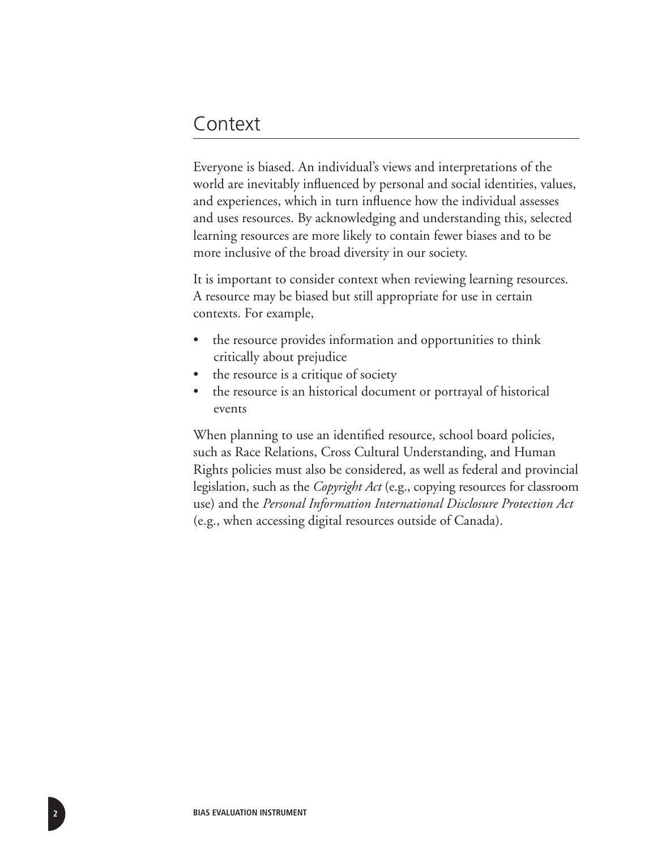#### Context

Everyone is biased. An individual's views and interpretations of the world are inevitably influenced by personal and social identities, values, and experiences, which in turn influence how the individual assesses and uses resources. By acknowledging and understanding this, selected learning resources are more likely to contain fewer biases and to be more inclusive of the broad diversity in our society.

It is important to consider context when reviewing learning resources. A resource may be biased but still appropriate for use in certain contexts. For example,

- the resource provides information and opportunities to think critically about prejudice
- the resource is a critique of society
- the resource is an historical document or portrayal of historical events

When planning to use an identified resource, school board policies, such as Race Relations, Cross Cultural Understanding, and Human Rights policies must also be considered, as well as federal and provincial legislation, such as the *Copyright Act* (e.g., copying resources for classroom use) and the *Personal Information International Disclosure Protection Act* (e.g., when accessing digital resources outside of Canada).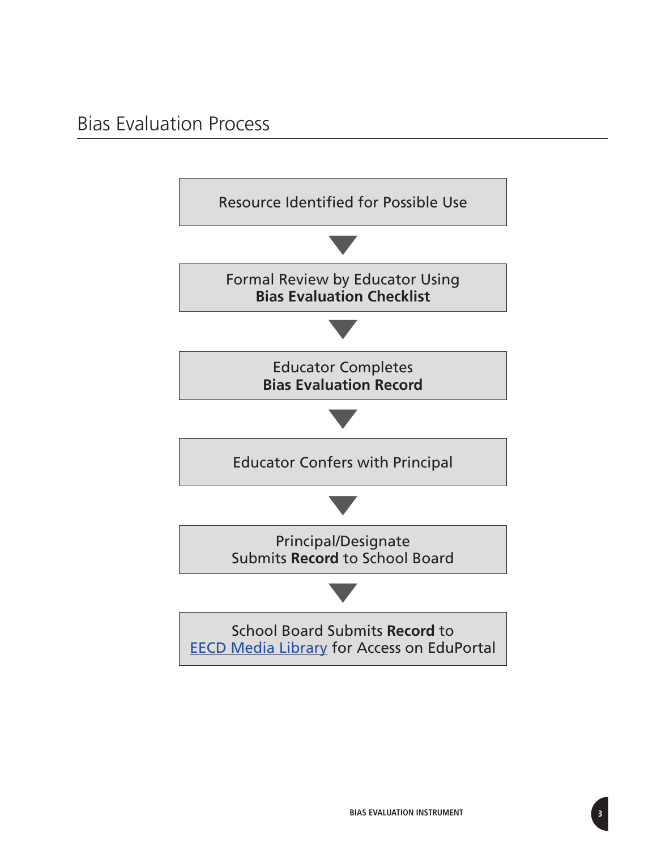### Bias Evaluation Process

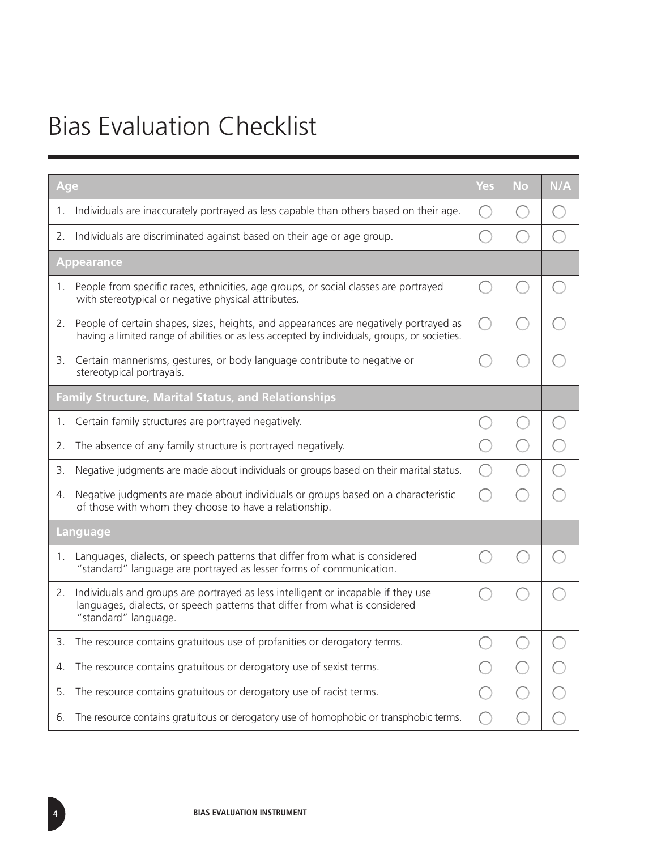# Bias Evaluation Checklist

| Age                                                        |                                                                                                                                                                                          | Yes        | <b>No</b> | N/A |
|------------------------------------------------------------|------------------------------------------------------------------------------------------------------------------------------------------------------------------------------------------|------------|-----------|-----|
| 1.                                                         | Individuals are inaccurately portrayed as less capable than others based on their age.                                                                                                   | $\Box$     |           |     |
| 2.                                                         | Individuals are discriminated against based on their age or age group.                                                                                                                   | i<br>Listo |           |     |
| <b>Appearance</b>                                          |                                                                                                                                                                                          |            |           |     |
| 1.                                                         | People from specific races, ethnicities, age groups, or social classes are portrayed<br>with stereotypical or negative physical attributes.                                              |            |           |     |
| 2.                                                         | People of certain shapes, sizes, heights, and appearances are negatively portrayed as<br>having a limited range of abilities or as less accepted by individuals, groups, or societies.   | Ĉ,         |           |     |
| З.                                                         | Certain mannerisms, gestures, or body language contribute to negative or<br>stereotypical portrayals.                                                                                    |            |           |     |
| <b>Family Structure, Marital Status, and Relationships</b> |                                                                                                                                                                                          |            |           |     |
| 1.                                                         | Certain family structures are portrayed negatively.                                                                                                                                      |            |           |     |
| 2.                                                         | The absence of any family structure is portrayed negatively.                                                                                                                             |            |           |     |
| 3.                                                         | Negative judgments are made about individuals or groups based on their marital status.                                                                                                   | ۰          |           |     |
| 4.                                                         | Negative judgments are made about individuals or groups based on a characteristic<br>of those with whom they choose to have a relationship.                                              |            |           |     |
| Language                                                   |                                                                                                                                                                                          |            |           |     |
| 1.                                                         | Languages, dialects, or speech patterns that differ from what is considered<br>"standard" language are portrayed as lesser forms of communication.                                       |            |           |     |
| 2.                                                         | Individuals and groups are portrayed as less intelligent or incapable if they use<br>languages, dialects, or speech patterns that differ from what is considered<br>"standard" language. |            |           |     |
| 3.                                                         | The resource contains gratuitous use of profanities or derogatory terms.                                                                                                                 | ŀ.         |           |     |
| 4.                                                         | The resource contains gratuitous or derogatory use of sexist terms.                                                                                                                      |            |           |     |
| 5.                                                         | The resource contains gratuitous or derogatory use of racist terms.                                                                                                                      | Ŏ,         |           |     |
| 6.                                                         | The resource contains gratuitous or derogatory use of homophobic or transphobic terms.                                                                                                   | $\Box$     |           |     |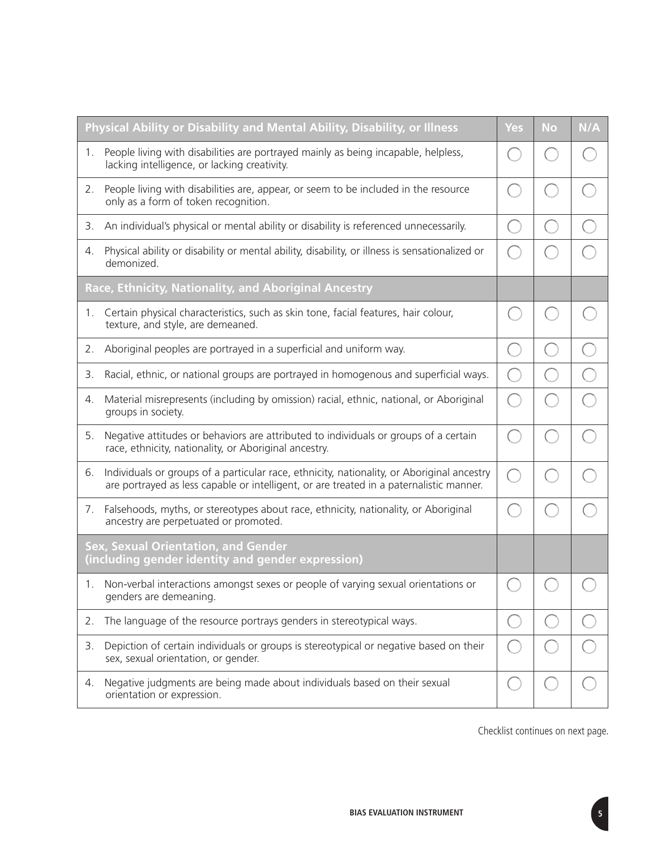| Physical Ability or Disability and Mental Ability, Disability, or Illness                       |                                                                                                                                                                                       | Yes                                                         | <b>No</b> | N/A |
|-------------------------------------------------------------------------------------------------|---------------------------------------------------------------------------------------------------------------------------------------------------------------------------------------|-------------------------------------------------------------|-----------|-----|
| 1.                                                                                              | People living with disabilities are portrayed mainly as being incapable, helpless,<br>lacking intelligence, or lacking creativity.                                                    | h.                                                          |           |     |
| 2.                                                                                              | People living with disabilities are, appear, or seem to be included in the resource<br>only as a form of token recognition.                                                           |                                                             |           |     |
| 3.                                                                                              | An individual's physical or mental ability or disability is referenced unnecessarily.                                                                                                 | $(\ )$                                                      |           |     |
| 4.                                                                                              | Physical ability or disability or mental ability, disability, or illness is sensationalized or<br>demonized.                                                                          |                                                             |           |     |
| Race, Ethnicity, Nationality, and Aboriginal Ancestry                                           |                                                                                                                                                                                       |                                                             |           |     |
| 1.                                                                                              | Certain physical characteristics, such as skin tone, facial features, hair colour,<br>texture, and style, are demeaned.                                                               |                                                             |           |     |
| 2.                                                                                              | Aboriginal peoples are portrayed in a superficial and uniform way.                                                                                                                    | $(\Box$                                                     |           |     |
| 3.                                                                                              | Racial, ethnic, or national groups are portrayed in homogenous and superficial ways.                                                                                                  | $\begin{array}{c} \begin{array}{c} \end{array} \end{array}$ |           |     |
| 4.                                                                                              | Material misrepresents (including by omission) racial, ethnic, national, or Aboriginal<br>groups in society.                                                                          |                                                             |           |     |
| 5.                                                                                              | Negative attitudes or behaviors are attributed to individuals or groups of a certain<br>race, ethnicity, nationality, or Aboriginal ancestry.                                         | r.                                                          |           |     |
| 6.                                                                                              | Individuals or groups of a particular race, ethnicity, nationality, or Aboriginal ancestry<br>are portrayed as less capable or intelligent, or are treated in a paternalistic manner. |                                                             |           |     |
| 7.                                                                                              | Falsehoods, myths, or stereotypes about race, ethnicity, nationality, or Aboriginal<br>ancestry are perpetuated or promoted.                                                          |                                                             |           |     |
| <b>Sex, Sexual Orientation, and Gender</b><br>(including gender identity and gender expression) |                                                                                                                                                                                       |                                                             |           |     |
| 1.                                                                                              | Non-verbal interactions amongst sexes or people of varying sexual orientations or<br>genders are demeaning.                                                                           |                                                             |           |     |
| 2.                                                                                              | The language of the resource portrays genders in stereotypical ways.                                                                                                                  |                                                             |           |     |
| 3.                                                                                              | Depiction of certain individuals or groups is stereotypical or negative based on their<br>sex, sexual orientation, or gender.                                                         |                                                             |           |     |
| 4.                                                                                              | Negative judgments are being made about individuals based on their sexual<br>orientation or expression.                                                                               |                                                             |           |     |

Checklist continues on next page.